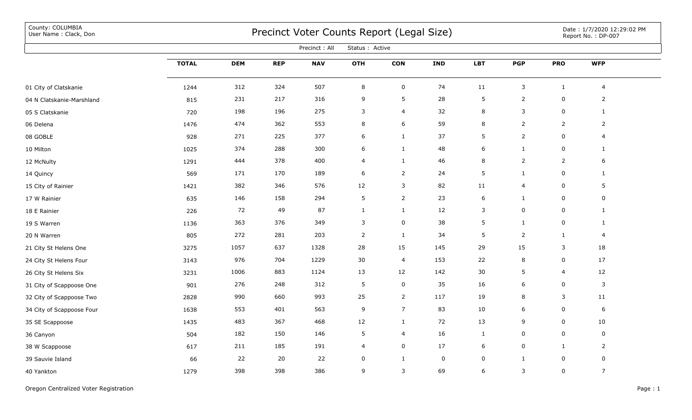County: COLUMBIA<br>User Name: Clack, Don

## COUNTY: COLUMBIA<br>User Name : Clack, Don Date : 1/7/2020 12:29:02 PM

Date: 1/7/2020 12:29:02 PM<br>Report No. : DP-007

| Precinct: All<br>Status : Active |              |            |            |            |                |                     |            |                |                 |                |                |  |
|----------------------------------|--------------|------------|------------|------------|----------------|---------------------|------------|----------------|-----------------|----------------|----------------|--|
|                                  | <b>TOTAL</b> | <b>DEM</b> | <b>REP</b> | <b>NAV</b> | <b>OTH</b>     | <b>CON</b>          | <b>IND</b> | <b>LBT</b>     | <b>PGP</b>      | <b>PRO</b>     | <b>WFP</b>     |  |
| 01 City of Clatskanie            | 1244         | 312        | 324        | 507        | 8              | $\mathbf 0$         | 74         | 11             | $\mathbf{3}$    | $\mathbf{1}$   | 4              |  |
| 04 N Clatskanie-Marshland        | 815          | 231        | 217        | 316        | 9              | 5                   | 28         | $\overline{5}$ | $\overline{2}$  | 0              | $\overline{2}$ |  |
| 05 S Clatskanie                  | 720          | 198        | 196        | 275        | $\mathsf{3}$   | 4                   | 32         | 8              | 3               | 0              | $\mathbf{1}$   |  |
| 06 Delena                        | 1476         | 474        | 362        | 553        | $\,8\,$        | 6                   | 59         | 8              | $\overline{2}$  | $\overline{2}$ | $\overline{2}$ |  |
| 08 GOBLE                         | 928          | 271        | 225        | 377        | 6              | $\mathbf{1}$        | 37         | $\overline{5}$ | $\overline{2}$  | 0              | 4              |  |
| 10 Milton                        | 1025         | 374        | 288        | 300        | 6              | $\mathbf{1}$        | 48         | 6              | $\mathbf{1}$    | $\pmb{0}$      | $\mathbf{1}$   |  |
| 12 McNulty                       | 1291         | 444        | 378        | 400        | $\overline{4}$ | $\mathbf{1}$        | 46         | 8              | $\overline{2}$  | $\mathsf{2}$   | 6              |  |
| 14 Quincy                        | 569          | 171        | 170        | 189        | 6              | $\overline{2}$      | 24         | 5              | $\mathbf{1}$    | $\pmb{0}$      | $\mathbf{1}$   |  |
| 15 City of Rainier               | 1421         | 382        | 346        | 576        | 12             | $\mathbf{3}$        | 82         | 11             | $\overline{4}$  | $\mathbf 0$    | 5              |  |
| 17 W Rainier                     | 635          | 146        | 158        | 294        | 5              | $\overline{2}$      | 23         | 6              | $\mathbf{1}$    | 0              | 0              |  |
| 18 E Rainier                     | 226          | 72         | 49         | 87         | $\mathbf{1}$   | $\mathbf{1}$        | 12         | 3              | $\mathsf 0$     | $\mathbf 0$    | $\mathbf{1}$   |  |
| 19 S Warren                      | 1136         | 363        | 376        | 349        | 3              | $\mathbf 0$         | 38         | 5              | $\mathbf{1}$    | 0              | $\mathbf{1}$   |  |
| 20 N Warren                      | 805          | 272        | 281        | 203        | $\overline{2}$ | $\mathbf{1}$        | 34         | 5              | $\overline{2}$  | $\mathbf{1}$   | 4              |  |
| 21 City St Helens One            | 3275         | 1057       | 637        | 1328       | 28             | 15                  | 145        | 29             | 15              | 3              | 18             |  |
| 24 City St Helens Four           | 3143         | 976        | 704        | 1229       | 30             | $\overline{4}$      | 153        | 22             | 8               | 0              | 17             |  |
| 26 City St Helens Six            | 3231         | 1006       | 883        | 1124       | 13             | 12                  | 142        | 30             | 5               | $\overline{4}$ | 12             |  |
| 31 City of Scappoose One         | 901          | 276        | 248        | 312        | 5              | $\mathsf{O}\xspace$ | 35         | 16             | $6\phantom{.}6$ | 0              | 3              |  |
| 32 City of Scappoose Two         | 2828         | 990        | 660        | 993        | 25             | $\overline{2}$      | 117        | 19             | 8               | $\mathsf 3$    | 11             |  |
| 34 City of Scappoose Four        | 1638         | 553        | 401        | 563        | $\mathsf 9$    | $\overline{7}$      | 83         | 10             | $6\phantom{.}6$ | $\pmb{0}$      | 6              |  |
| 35 SE Scappoose                  | 1435         | 483        | 367        | 468        | 12             | $\mathbf{1}$        | 72         | 13             | 9               | $\mathsf 0$    | 10             |  |
| 36 Canyon                        | 504          | 182        | 150        | 146        | $\overline{5}$ | $\overline{4}$      | 16         | $\mathbf{1}$   | $\mathbf 0$     | $\mathbf 0$    | 0              |  |
| 38 W Scappoose                   | 617          | 211        | 185        | 191        | $\overline{4}$ | $\mathsf 0$         | 17         | 6              | $\mathsf 0$     | $\mathbf{1}$   | $\overline{2}$ |  |
| 39 Sauvie Island                 | 66           | 22         | 20         | 22         | $\mathbf 0$    | $\mathbf{1}$        | 0          | 0              | $\mathbf{1}$    | $\mathbf 0$    | 0              |  |
| 40 Yankton                       | 1279         | 398        | 398        | 386        | 9              | 3                   | 69         | 6              | 3               | $\mathbf 0$    | $\overline{7}$ |  |

Oregon Centralized Voter Registration Page : 1